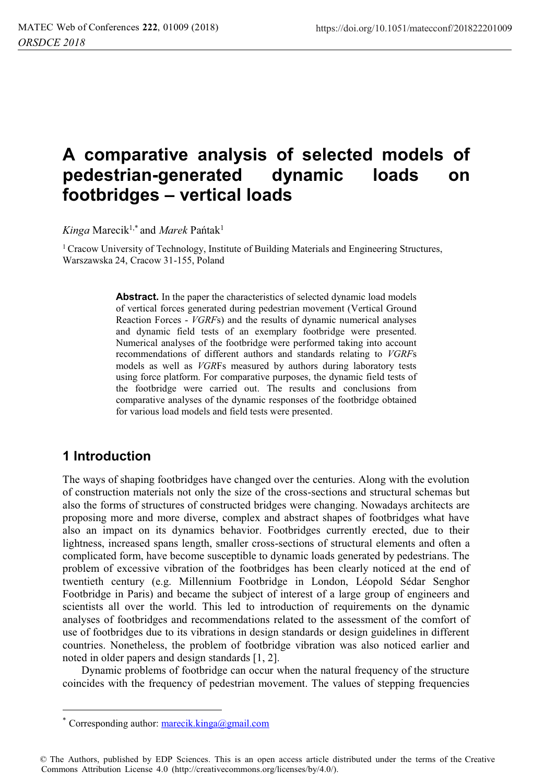# **A comparative analysis of selected models of pedestrian-generated dynamic loads on footbridges – vertical loads**

*Kinga* Marecik1,\* and *Marek* Pańtak<sup>1</sup>

<sup>1</sup> Cracow University of Technology, Institute of Building Materials and Engineering Structures, Warszawska 24, Cracow 31-155, Poland

> **Abstract.** In the paper the characteristics of selected dynamic load models of vertical forces generated during pedestrian movement (Vertical Ground Reaction Forces - *VGRF*s) and the results of dynamic numerical analyses and dynamic field tests of an exemplary footbridge were presented. Numerical analyses of the footbridge were performed taking into account recommendations of different authors and standards relating to *VGRF*<sup>s</sup> models as well as *VGR*Fs measured by authors during laboratory tests using force platform. For comparative purposes, the dynamic field tests of the footbridge were carried out. The results and conclusions from comparative analyses of the dynamic responses of the footbridge obtained for various load models and field tests were presented.

## **1 Introduction**

 $\overline{a}$ 

The ways of shaping footbridges have changed over the centuries. Along with the evolution of construction materials not only the size of the cross-sections and structural schemas but also the forms of structures of constructed bridges were changing. Nowadays architects are proposing more and more diverse, complex and abstract shapes of footbridges what have also an impact on its dynamics behavior. Footbridges currently erected, due to their lightness, increased spans length, smaller cross-sections of structural elements and often a complicated form, have become susceptible to dynamic loads generated by pedestrians. The problem of excessive vibration of the footbridges has been clearly noticed at the end of twentieth century (e.g. Millennium Footbridge in London, Léopold Sédar Senghor Footbridge in Paris) and became the subject of interest of a large group of engineers and scientists all over the world. This led to introduction of requirements on the dynamic analyses of footbridges and recommendations related to the assessment of the comfort of use of footbridges due to its vibrations in design standards or design guidelines in different countries. Nonetheless, the problem of footbridge vibration was also noticed earlier and noted in older papers and design standards [1, 2].

 Dynamic problems of footbridge can occur when the natural frequency of the structure coincides with the frequency of pedestrian movement. The values of stepping frequencies

Corresponding author:  $\frac{\text{marecik}, \text{kinga}}{a \text{gmail.com}}$ 

<sup>©</sup> The Authors, published by EDP Sciences. This is an open access article distributed under the terms of the Creative Commons Attribution License 4.0 (http://creativecommons.org/licenses/by/4.0/).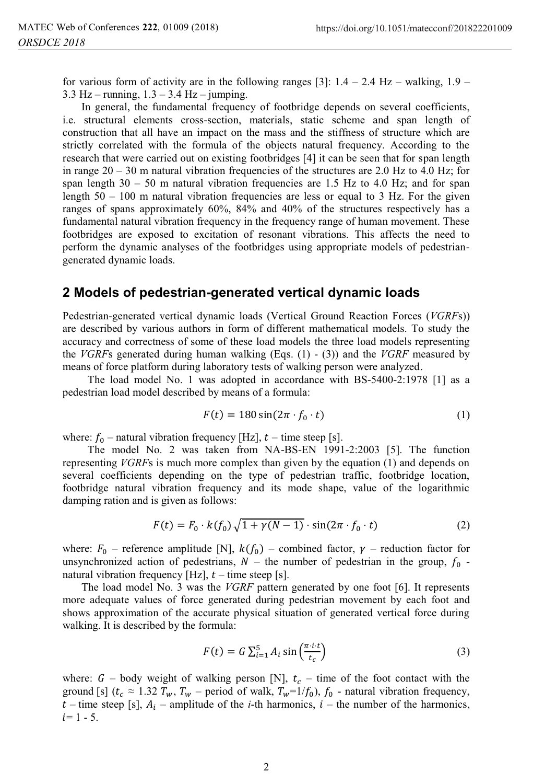for various form of activity are in the following ranges [3]:  $1.4 - 2.4$  Hz – walking,  $1.9 -$ 3.3 Hz – running,  $1.3 - 3.4$  Hz – jumping.

 In general, the fundamental frequency of footbridge depends on several coefficients, i.e. structural elements cross-section, materials, static scheme and span length of construction that all have an impact on the mass and the stiffness of structure which are strictly correlated with the formula of the objects natural frequency. According to the research that were carried out on existing footbridges [4] it can be seen that for span length in range  $20 - 30$  m natural vibration frequencies of the structures are 2.0 Hz to 4.0 Hz; for span length  $30 - 50$  m natural vibration frequencies are 1.5 Hz to 4.0 Hz; and for span length  $50 - 100$  m natural vibration frequencies are less or equal to 3 Hz. For the given ranges of spans approximately 60%, 84% and 40% of the structures respectively has a fundamental natural vibration frequency in the frequency range of human movement. These footbridges are exposed to excitation of resonant vibrations. This affects the need to perform the dynamic analyses of the footbridges using appropriate models of pedestriangenerated dynamic loads.

### **2 Models of pedestrian-generated vertical dynamic loads**

Pedestrian-generated vertical dynamic loads (Vertical Ground Reaction Forces (*VGRF*s)) are described by various authors in form of different mathematical models. To study the accuracy and correctness of some of these load models the three load models representing the *VGRF*s generated during human walking (Eqs. (1) - (3)) and the *VGRF* measured by means of force platform during laboratory tests of walking person were analyzed.

The load model No. 1 was adopted in accordance with BS-5400-2:1978 [1] as a pedestrian load model described by means of a formula:

$$
F(t) = 180\sin(2\pi \cdot f_0 \cdot t) \tag{1}
$$

where:  $f_0$  – natural vibration frequency [Hz],  $t$  – time steep [s].

The model No. 2 was taken from NA-BS-EN 1991-2:2003 [5]. The function representing *VGRF*s is much more complex than given by the equation (1) and depends on several coefficients depending on the type of pedestrian traffic, footbridge location, footbridge natural vibration frequency and its mode shape, value of the logarithmic damping ration and is given as follows:

$$
F(t) = F_0 \cdot k(f_0) \sqrt{1 + \gamma(N - 1)} \cdot \sin(2\pi \cdot f_0 \cdot t)
$$
 (2)

where:  $F_0$  – reference amplitude [N],  $k(f_0)$  – combined factor,  $\gamma$  – reduction factor for unsynchronized action of pedestrians,  $N -$  the number of pedestrian in the group,  $f_0$  natural vibration frequency [Hz],  $t$  – time steep [s].

 The load model No. 3 was the *VGRF* pattern generated by one foot [6]. It represents more adequate values of force generated during pedestrian movement by each foot and shows approximation of the accurate physical situation of generated vertical force during walking. It is described by the formula:

$$
F(t) = G \sum_{i=1}^{5} A_i \sin\left(\frac{\pi \cdot i \cdot t}{t_c}\right)
$$
 (3)

where:  $G$  – body weight of walking person [N],  $t_c$  – time of the foot contact with the ground [s]  $(t_c \approx 1.32 T_w, T_w$  – period of walk,  $T_w=1/f_0$ ,  $f_0$  - natural vibration frequency,  $t$  – time steep [s],  $A_i$  – amplitude of the *i*-th harmonics,  $i$  – the number of the harmonics,  $i= 1 - 5$ .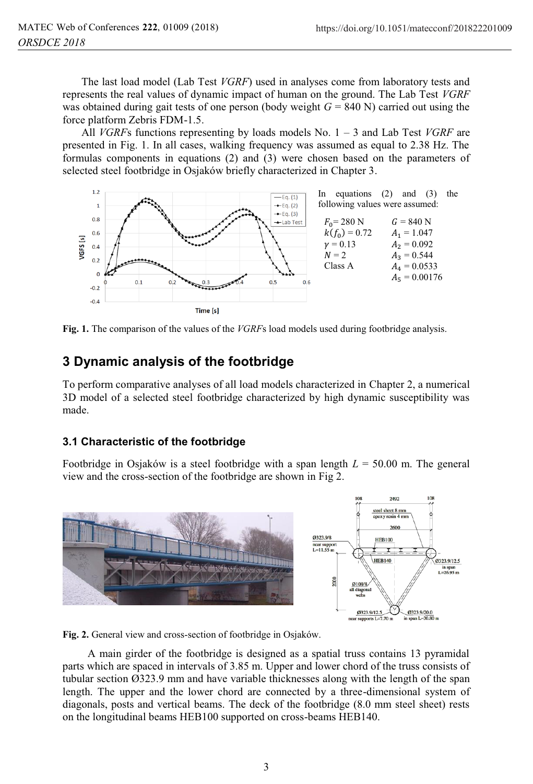The last load model (Lab Test *VGRF*) used in analyses come from laboratory tests and represents the real values of dynamic impact of human on the ground. The Lab Test *VGRF* was obtained during gait tests of one person (body weight *G* = 840 N) carried out using the force platform Zebris FDM-1.5.

 All *VGRF*s functions representing by loads models No. 1 – 3 and Lab Test *VGRF* are presented in Fig. 1. In all cases, walking frequency was assumed as equal to 2.38 Hz. The formulas components in equations (2) and (3) were chosen based on the parameters of selected steel footbridge in Osjaków briefly characterized in Chapter 3.



**Fig. 1.** The comparison of the values of the *VGRF*s load models used during footbridge analysis.

# **3 Dynamic analysis of the footbridge**

To perform comparative analyses of all load models characterized in Chapter 2, a numerical 3D model of a selected steel footbridge characterized by high dynamic susceptibility was made.

## **3.1 Characteristic of the footbridge**

Footbridge in Osjaków is a steel footbridge with a span length *L* = 50.00 m. The general view and the cross-section of the footbridge are shown in Fig 2.



**Fig. 2.** General view and cross-section of footbridge in Osjaków.

A main girder of the footbridge is designed as a spatial truss contains 13 pyramidal parts which are spaced in intervals of 3.85 m. Upper and lower chord of the truss consists of tubular section Ø323.9 mm and have variable thicknesses along with the length of the span length. The upper and the lower chord are connected by a three-dimensional system of diagonals, posts and vertical beams. The deck of the footbridge (8.0 mm steel sheet) rests on the longitudinal beams HEB100 supported on cross-beams HEB140.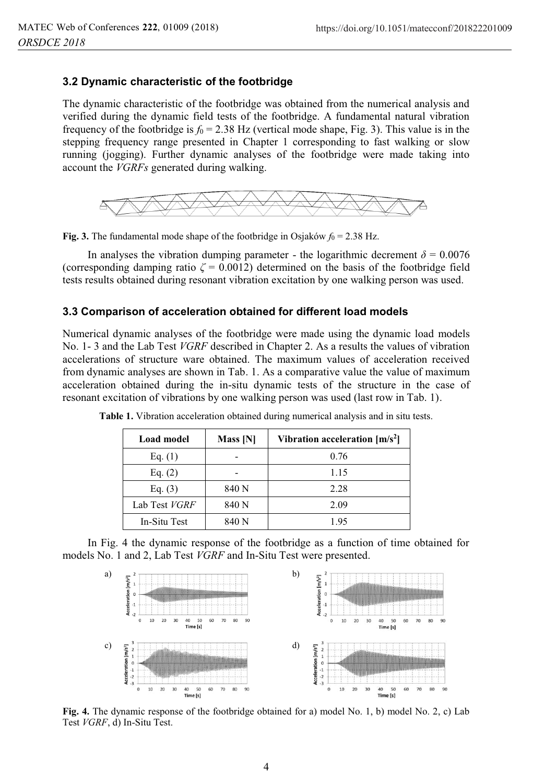#### **3.2 Dynamic characteristic of the footbridge**

The dynamic characteristic of the footbridge was obtained from the numerical analysis and verified during the dynamic field tests of the footbridge. A fundamental natural vibration frequency of the footbridge is  $f_0 = 2.38$  Hz (vertical mode shape, Fig. 3). This value is in the stepping frequency range presented in Chapter 1 corresponding to fast walking or slow running (jogging). Further dynamic analyses of the footbridge were made taking into account the *VGRFs* generated during walking.



**Fig. 3.** The fundamental mode shape of the footbridge in Osjaków  $f_0 = 2.38$  Hz.

In analyses the vibration dumping parameter - the logarithmic decrement  $\delta = 0.0076$ (corresponding damping ratio  $\zeta = 0.0012$ ) determined on the basis of the footbridge field tests results obtained during resonant vibration excitation by one walking person was used.

#### **3.3 Comparison of acceleration obtained for different load models**

Numerical dynamic analyses of the footbridge were made using the dynamic load models No. 1- 3 and the Lab Test *VGRF* described in Chapter 2. As a results the values of vibration accelerations of structure ware obtained. The maximum values of acceleration received from dynamic analyses are shown in Tab. 1. As a comparative value the value of maximum acceleration obtained during the in-situ dynamic tests of the structure in the case of resonant excitation of vibrations by one walking person was used (last row in Tab. 1).

| Load model    | Mass [N] | Vibration acceleration $[m/s^2]$ |
|---------------|----------|----------------------------------|
| Eq. $(1)$     |          | 0.76                             |
| Eq. $(2)$     |          | 1.15                             |
| Eq. $(3)$     | 840 N    | 2.28                             |
| Lab Test VGRF | 840 N    | 2.09                             |
| In-Situ Test  | 840 N    | 1.95                             |

**Table 1.** Vibration acceleration obtained during numerical analysis and in situ tests.

In Fig. 4 the dynamic response of the footbridge as a function of time obtained for models No. 1 and 2, Lab Test *VGRF* and In-Situ Test were presented.



**Fig. 4.** The dynamic response of the footbridge obtained for a) model No. 1, b) model No. 2, c) Lab Test *VGRF*, d) In-Situ Test.